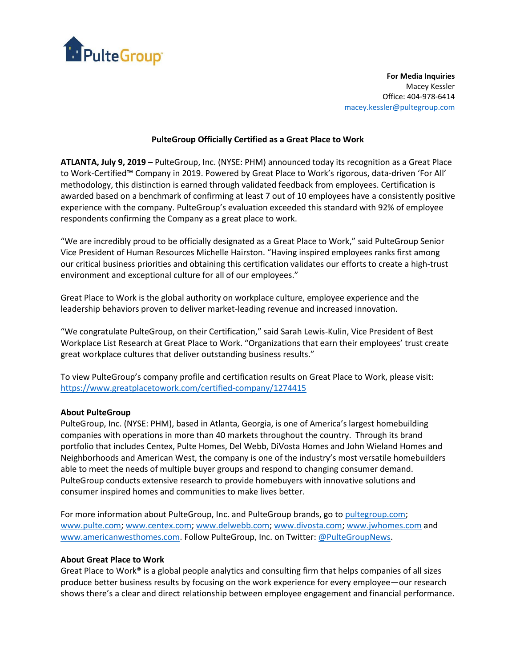

**For Media Inquiries** Macey Kessler Office: 404‐978‐6414 [macey.kessler@pultegroup.com](mailto:macey.kessler@pultegroup.com)

## **PulteGroup Officially Certified as a Great Place to Work**

**ATLANTA, July 9, 2019** – PulteGroup, Inc. (NYSE: PHM) announced today its recognition as a Great Place to Work-Certified™ Company in 2019. Powered by Great Place to Work's rigorous, data-driven 'For All' methodology, this distinction is earned through validated feedback from employees. Certification is awarded based on a benchmark of confirming at least 7 out of 10 employees have a consistently positive experience with the company. PulteGroup's evaluation exceeded this standard with 92% of employee respondents confirming the Company as a great place to work.

"We are incredibly proud to be officially designated as a Great Place to Work," said PulteGroup Senior Vice President of Human Resources Michelle Hairston. "Having inspired employees ranks first among our critical business priorities and obtaining this certification validates our efforts to create a high-trust environment and exceptional culture for all of our employees."

Great Place to Work is the global authority on workplace culture, employee experience and the leadership behaviors proven to deliver market-leading revenue and increased innovation.

"We congratulate PulteGroup, on their Certification," said Sarah Lewis-Kulin, Vice President of Best Workplace List Research at Great Place to Work. "Organizations that earn their employees' trust create great workplace cultures that deliver outstanding business results."

To view PulteGroup's company profile and certification results on Great Place to Work, please visit: <https://www.greatplacetowork.com/certified-company/1274415>

## **About PulteGroup**

PulteGroup, Inc. (NYSE: PHM), based in Atlanta, Georgia, is one of America's largest homebuilding companies with operations in more than 40 markets throughout the country. Through its brand portfolio that includes Centex, Pulte Homes, Del Webb, DiVosta Homes and John Wieland Homes and Neighborhoods and American West, the company is one of the industry's most versatile homebuilders able to meet the needs of multiple buyer groups and respond to changing consumer demand. PulteGroup conducts extensive research to provide homebuyers with innovative solutions and consumer inspired homes and communities to make lives better.

For more information about PulteGroup, Inc. and PulteGroup brands, go t[o pultegroup.com;](http://pultegroup.com/) [www.pulte.com;](https://www.pulte.com/) [www.centex.com;](http://www.centex.com/) [www.delwebb.com;](https://www.delwebb.com/) [www.divosta.com;](https://www.divosta.com/) [www.jwhomes.com](http://www.jwhomes.com/) and [www.americanwesthomes.com.](http://www.americanwesthomes.com/) Follow PulteGroup, Inc. on Twitter[: @PulteGroupNews.](https://twitter.com/pultegroupnews)

## **About Great Place to Work**

Great Place to Work® is a global people analytics and consulting firm that helps companies of all sizes produce better business results by focusing on the work experience for every employee—our research shows there's a clear and direct relationship between employee engagement and financial performance.